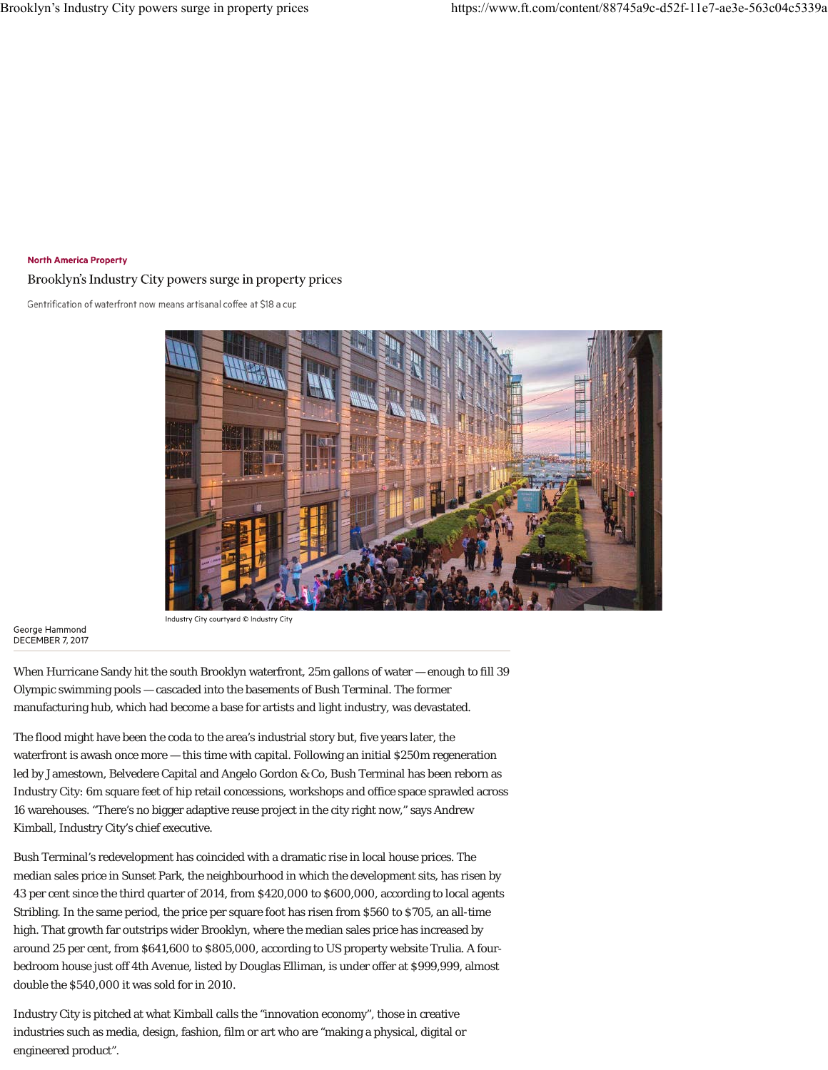#### **North America Property**

### Brooklyn's Industry City powers surge in property prices

Gentrification of waterfront now means artisanal coffee at \$18 a cup



George Hammond<br>DECEMBER 7, 2017

When Hurricane Sandy hit the south Brooklyn waterfront, 25m gallons of water — enough to fill 39 Olympic swimming pools — cascaded into the basements of Bush Terminal. The former manufacturing hub, which had become a base for artists and light industry, was devastated.

The flood might have been the coda to the area's industrial story but, five years later, the waterfront is awash once more  $-$  this time with capital. Following an initial \$250m regeneration led by Jamestown, Belvedere Capital and Angelo Gordon & Co, Bush Terminal has been reborn as Industry City: 6m square feet of hip retail concessions, workshops and office space sprawled across 16 warehouses. "There's no bigger adaptive reuse project in the city right now," says Andrew Kimball, Industry City's chief executive.

Bush Terminal's redevelopment has coincided with a dramatic rise in local house prices. The median sales price in Sunset Park, the neighbourhood in which the development sits, has risen by 43 per cent since the third quarter of 2014, from \$420,000 to \$600,000, according to local agents Stribling. In the same period, the price per square foot has risen from \$560 to \$705, an all-time high. That growth far outstrips wider Brooklyn, where the median sales price has increased by around 25 per cent, from \$641,600 to \$805,000, according to US property website Trulia. A fourbedroom house just off 4th Avenue, listed by Douglas Elliman, is under offer at \$999,999, almost double the \$540,000 it was sold for in 2010.

Industry City is pitched at what Kimball calls the "innovation economy", those in creative industries such as media, design, fashion, film or art who are "making a physical, digital or engineered product".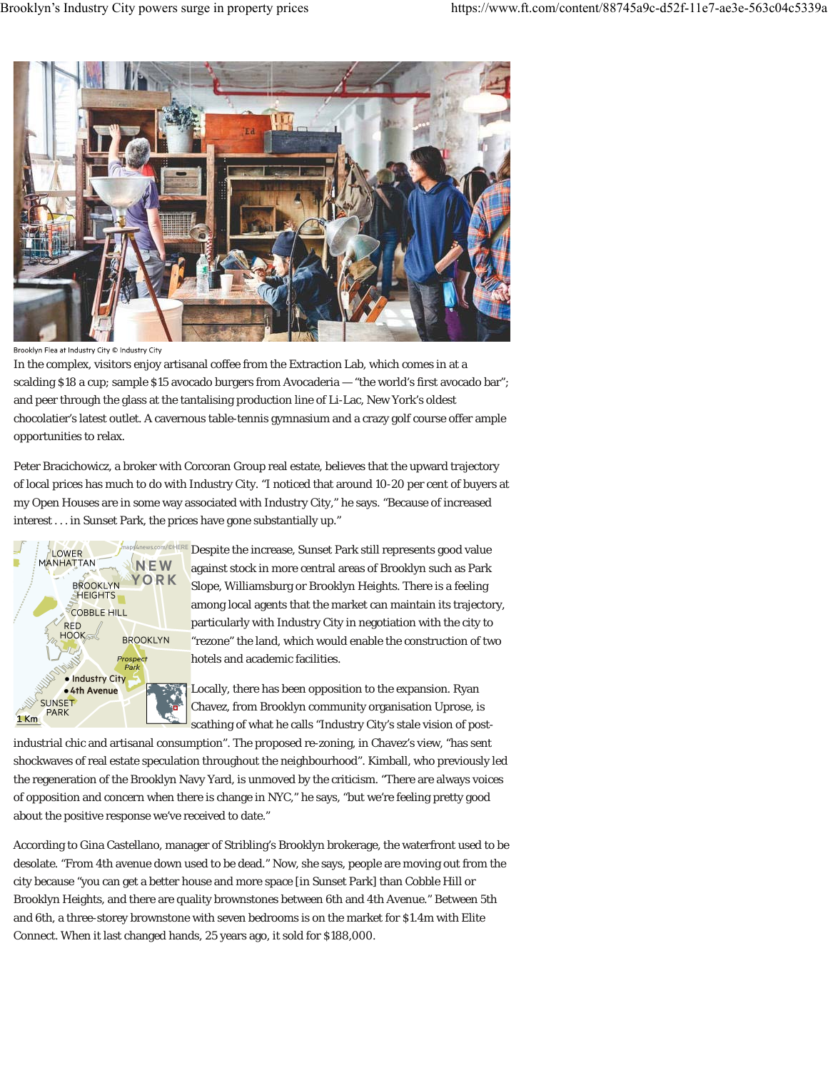

Brooklyn Flea at Industry City © Industry City

In the complex, visitors enjoy artisanal coffee from the Extraction Lab, which comes in at a scalding \$18 a cup; sample \$15 avocado burgers from Avocaderia — "the world's first avocado bar"; and peer through the glass at the tantalising production line of Li-Lac, New York's oldest chocolatier's latest outlet. A cavernous table-tennis gymnasium and a crazy golf course offer ample opportunities to relax.

Peter Bracichowicz, a broker with Corcoran Group real estate, believes that the upward trajectory of local prices has much to do with Industry City. "I noticed that around 10-20 per cent of buyers at my Open Houses are in some way associated with Industry City," he says. "Because of increased interest . . . in Sunset Park, the prices have gone substantially up."



Despite the increase, Sunset Park still represents good value against stock in more central areas of Brooklyn such as Park Slope, Williamsburg or Brooklyn Heights. There is a feeling among local agents that the market can maintain its trajectory, particularly with Industry City in negotiation with the city to "rezone" the land, which would enable the construction of two hotels and academic facilities.

Locally, there has been opposition to the expansion. Ryan Chavez, from Brooklyn community organisation Uprose, is scathing of what he calls "Industry City's stale vision of post-

industrial chic and artisanal consumption". The proposed re-zoning, in Chavez's view, "has sent shockwaves of real estate speculation throughout the neighbourhood". Kimball, who previously led the regeneration of the Brooklyn Navy Yard, is unmoved by the criticism. "There are always voices of opposition and concern when there is change in NYC," he says, "but we're feeling pretty good about the positive response we've received to date."

According to Gina Castellano, manager of Stribling's Brooklyn brokerage, the waterfront used to be desolate. "From 4th avenue down used to be dead." Now, she says, people are moving out from the city because "you can get a better house and more space [in Sunset Park] than Cobble Hill or Brooklyn Heights, and there are quality brownstones between 6th and 4th Avenue." Between 5th and 6th, a three-storey brownstone with seven bedrooms is on the market for \$1.4m with Elite Connect. When it last changed hands, 25 years ago, it sold for \$188,000.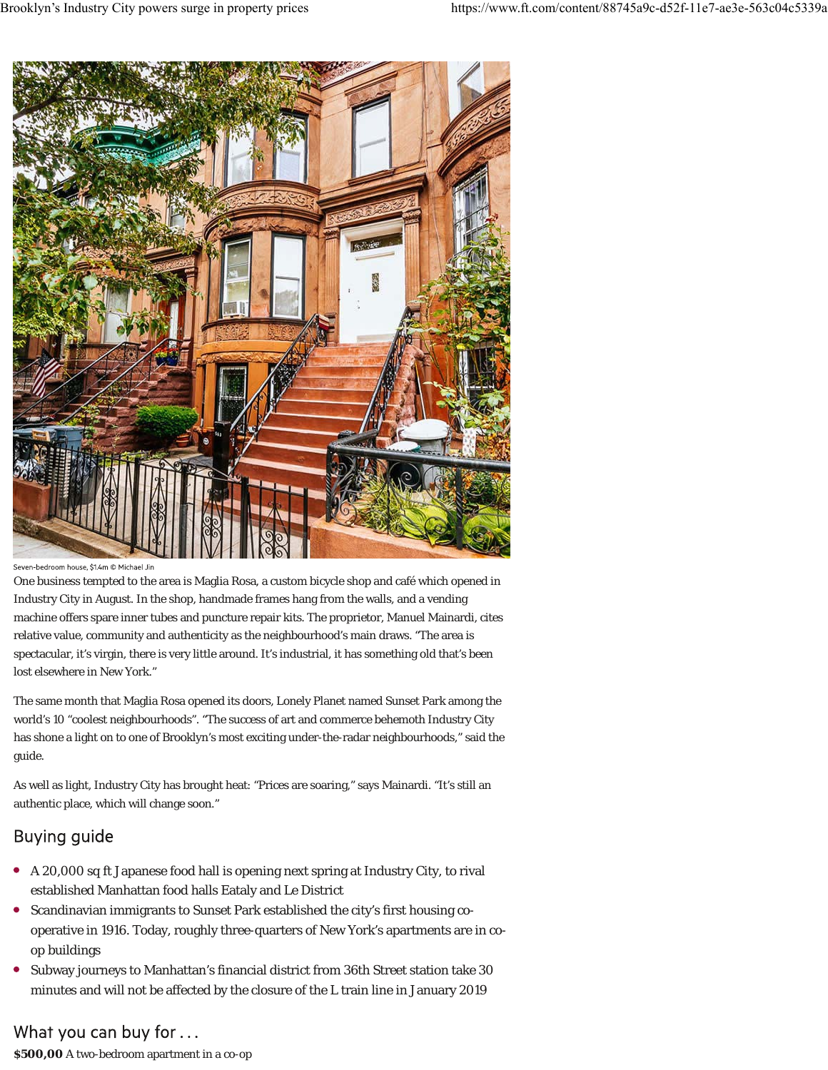

#### Seven-bedroom house, \$1.4m © Michael Jin

One business tempted to the area is Maglia Rosa, a custom bicycle shop and café which opened in Industry City in August. In the shop, handmade frames hang from the walls, and a vending machine offers spare inner tubes and puncture repair kits. The proprietor, Manuel Mainardi, cites relative value, community and authenticity as the neighbourhood's main draws. "The area is spectacular, it's virgin, there is very little around. It's industrial, it has something old that's been lost elsewhere in New York."

The same month that Maglia Rosa opened its doors, Lonely Planet named Sunset Park among the world's 10 "coolest neighbourhoods". "The success of art and commerce behemoth Industry City has shone a light on to one of Brooklyn's most exciting under-the-radar neighbourhoods," said the guide.

As well as light, Industry City has brought heat: "Prices are soaring," says Mainardi. "It's still an authentic place, which will change soon."

## Buying guide

- A 20,000 sq ft Japanese food hall is opening next spring at Industry City, to rival established Manhattan food halls Eataly and Le District
- Scandinavian immigrants to Sunset Park established the city's first housing cooperative in 1916. Today, roughly three-quarters of New York's apartments are in coop buildings
- $\bullet$ Subway journeys to Manhattan's financial district from 36th Street station take 30 minutes and will not be affected by the closure of the L train line in January 2019

## What you can buy for  $\dots$

**\$500,00** A two-bedroom apartment in a co-op